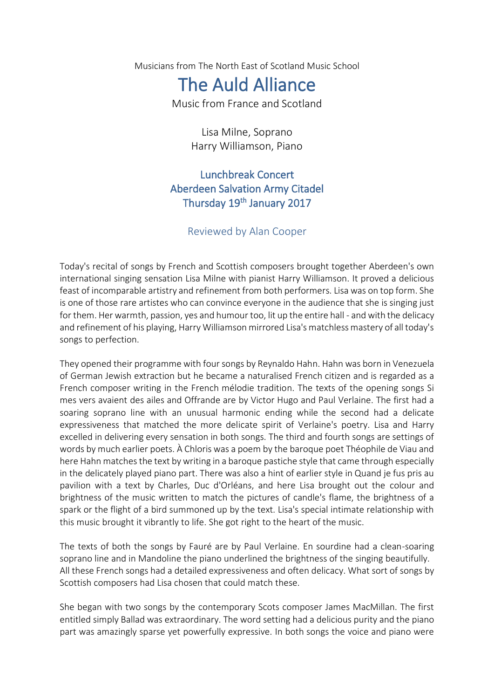Musicians from The North East of Scotland Music School

## The Auld Alliance

Music from France and Scotland

Lisa Milne, Soprano Harry Williamson, Piano

## Lunchbreak Concert Aberdeen Salvation Army Citadel Thursday 19<sup>th</sup> January 2017

## Reviewed by Alan Cooper

Today's recital of songs by French and Scottish composers brought together Aberdeen's own international singing sensation Lisa Milne with pianist Harry Williamson. It proved a delicious feast of incomparable artistry and refinement from both performers. Lisa was on top form. She is one of those rare artistes who can convince everyone in the audience that she is singing just for them. Her warmth, passion, yes and humour too, lit up the entire hall - and with the delicacy and refinement of his playing, Harry Williamson mirrored Lisa's matchless mastery of all today's songs to perfection.

They opened their programme with four songs by Reynaldo Hahn. Hahn was born in Venezuela of German Jewish extraction but he became a naturalised French citizen and is regarded as a French composer writing in the French mélodie tradition. The texts of the opening songs Si mes vers avaient des ailes and Offrande are by Victor Hugo and Paul Verlaine. The first had a soaring soprano line with an unusual harmonic ending while the second had a delicate expressiveness that matched the more delicate spirit of Verlaine's poetry. Lisa and Harry excelled in delivering every sensation in both songs. The third and fourth songs are settings of words by much earlier poets. À Chloris was a poem by the baroque poet Théophile de Viau and here Hahn matches the text by writing in a baroque pastiche style that came through especially in the delicately played piano part. There was also a hint of earlier style in Quand je fus pris au pavilion with a text by Charles, Duc d'Orléans, and here Lisa brought out the colour and brightness of the music written to match the pictures of candle's flame, the brightness of a spark or the flight of a bird summoned up by the text. Lisa's special intimate relationship with this music brought it vibrantly to life. She got right to the heart of the music.

The texts of both the songs by Fauré are by Paul Verlaine. En sourdine had a clean-soaring soprano line and in Mandoline the piano underlined the brightness of the singing beautifully. All these French songs had a detailed expressiveness and often delicacy. What sort of songs by Scottish composers had Lisa chosen that could match these.

She began with two songs by the contemporary Scots composer James MacMillan. The first entitled simply Ballad was extraordinary. The word setting had a delicious purity and the piano part was amazingly sparse yet powerfully expressive. In both songs the voice and piano were